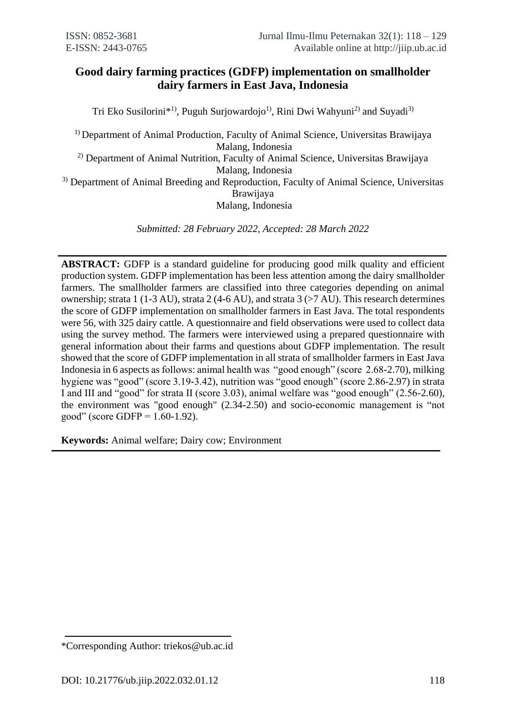# **Good dairy farming practices (GDFP) implementation on smallholder dairy farmers in East Java, Indonesia**

Tri Eko Susilorini<sup>\*1)</sup>, Puguh Surjowardojo<sup>1)</sup>, Rini Dwi Wahyuni<sup>2)</sup> and Suyadi<sup>3)</sup>

<sup>1)</sup> Department of Animal Production, Faculty of Animal Science, Universitas Brawijaya Malang, Indonesia 2) Department of Animal Nutrition, Faculty of Animal Science, Universitas Brawijaya Malang, Indonesia <sup>3)</sup> Department of Animal Breeding and Reproduction, Faculty of Animal Science, Universitas Brawijaya Malang, Indonesia

*Submitted: 28 February 2022, Accepted: 28 March 2022*

**ABSTRACT:** GDFP is a standard guideline for producing good milk quality and efficient production system. GDFP implementation has been less attention among the dairy smallholder farmers. The smallholder farmers are classified into three categories depending on animal ownership; strata 1 (1-3 AU), strata 2 (4-6 AU), and strata 3 (>7 AU). This research determines the score of GDFP implementation on smallholder farmers in East Java. The total respondents were 56, with 325 dairy cattle. A questionnaire and field observations were used to collect data using the survey method. The farmers were interviewed using a prepared questionnaire with general information about their farms and questions about GDFP implementation. The result showed that the score of GDFP implementation in all strata of smallholder farmers in East Java Indonesia in 6 aspects as follows: animal health was "good enough" (score 2.68-2.70), milking hygiene was "good" (score 3.19-3.42), nutrition was "good enough" (score 2.86-2.97) in strata I and III and "good" for strata II (score 3.03), animal welfare was "good enough" (2.56-2.60), the environment was "good enough" (2.34-2.50) and socio-economic management is "not good" (score GDFP =  $1.60 - 1.92$ ).

**Keywords:** Animal welfare; Dairy cow; Environment

<sup>\*</sup>Corresponding Author: triekos@ub.ac.id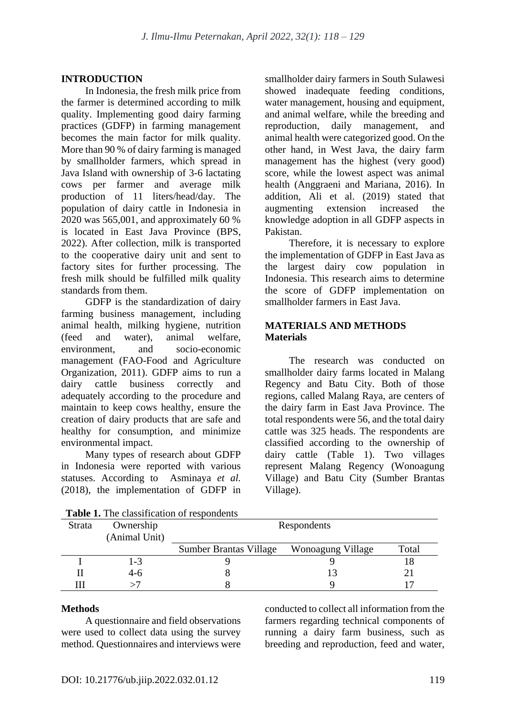# **INTRODUCTION**

In Indonesia, the fresh milk price from the farmer is determined according to milk quality. Implementing good dairy farming practices (GDFP) in farming management becomes the main factor for milk quality. More than 90 % of dairy farming is managed by smallholder farmers, which spread in Java Island with ownership of 3-6 lactating cows per farmer and average milk production of 11 liters/head/day. The population of dairy cattle in Indonesia in 2020 was 565,001, and approximately 60 % is located in East Java Province (BPS, 2022). After collection, milk is transported to the cooperative dairy unit and sent to factory sites for further processing. The fresh milk should be fulfilled milk quality standards from them.

GDFP is the standardization of dairy farming business management, including animal health, milking hygiene, nutrition (feed and water), animal welfare, environment, and socio-economic management (FAO-Food and Agriculture Organization, 2011). GDFP aims to run a dairy cattle business correctly and adequately according to the procedure and maintain to keep cows healthy, ensure the creation of dairy products that are safe and healthy for consumption, and minimize environmental impact.

Many types of research about GDFP in Indonesia were reported with various statuses. According to Asminaya *et al.* (2018), the implementation of GDFP in smallholder dairy farmers in South Sulawesi showed inadequate feeding conditions, water management, housing and equipment, and animal welfare, while the breeding and reproduction, daily management, and animal health were categorized good. On the other hand, in West Java, the dairy farm management has the highest (very good) score, while the lowest aspect was animal health (Anggraeni and Mariana, 2016). In addition, Ali et al. (2019) stated that augmenting extension increased the knowledge adoption in all GDFP aspects in Pakistan.

Therefore, it is necessary to explore the implementation of GDFP in East Java as the largest dairy cow population in Indonesia. This research aims to determine the score of GDFP implementation on smallholder farmers in East Java.

# **MATERIALS AND METHODS Materials**

The research was conducted on smallholder dairy farms located in Malang Regency and Batu City. Both of those regions, called Malang Raya, are centers of the dairy farm in East Java Province. The total respondents were 56, and the total dairy cattle was 325 heads. The respondents are classified according to the ownership of dairy cattle (Table 1). Two villages represent Malang Regency (Wonoagung Village) and Batu City (Sumber Brantas Village).

| <b>Strata</b> | Ownership<br>(Animal Unit) | Respondents                   |                   |       |
|---------------|----------------------------|-------------------------------|-------------------|-------|
|               |                            | <b>Sumber Brantas Village</b> | Wonoagung Village | Total |
|               | $1 - 3$                    |                               |                   |       |
|               | $4-6$                      |                               |                   |       |
|               |                            |                               |                   |       |

#### **Methods**

A questionnaire and field observations were used to collect data using the survey method. Questionnaires and interviews were conducted to collect all information from the farmers regarding technical components of running a dairy farm business, such as breeding and reproduction, feed and water,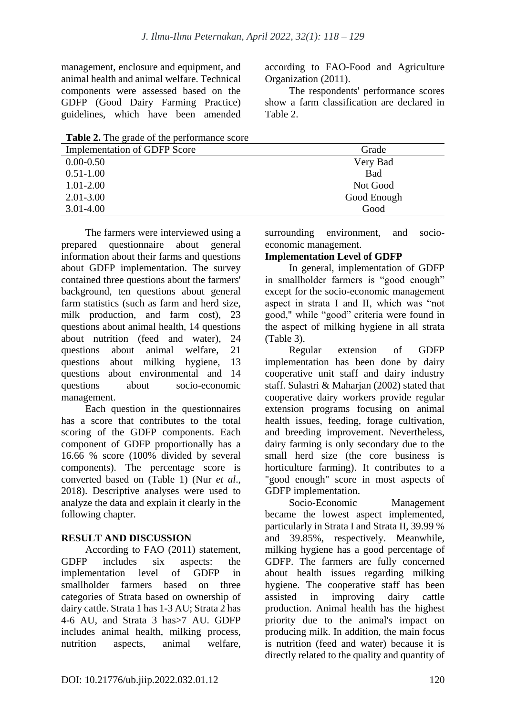management, enclosure and equipment, and animal health and animal welfare. Technical components were assessed based on the GDFP (Good Dairy Farming Practice) guidelines, which have been amended according to FAO-Food and Agriculture Organization (2011).

The respondents' performance scores show a farm classification are declared in Table 2.

**Table 2.** The grade of the performance score

| <b>Implementation of GDFP Score</b> | Grade       |
|-------------------------------------|-------------|
| $0.00 - 0.50$                       | Very Bad    |
| $0.51 - 1.00$                       | <b>Bad</b>  |
| $1.01 - 2.00$                       | Not Good    |
| $2.01 - 3.00$                       | Good Enough |
| $3.01 - 4.00$                       | Good        |
|                                     |             |

The farmers were interviewed using a prepared questionnaire about general information about their farms and questions about GDFP implementation. The survey contained three questions about the farmers' background, ten questions about general farm statistics (such as farm and herd size, milk production, and farm cost), 23 questions about animal health, 14 questions about nutrition (feed and water), 24 questions about animal welfare, 21 questions about milking hygiene, 13 questions about environmental and 14 questions about socio-economic management.

Each question in the questionnaires has a score that contributes to the total scoring of the GDFP components. Each component of GDFP proportionally has a 16.66 % score (100% divided by several components). The percentage score is converted based on (Table 1) (Nur *et al*., 2018). Descriptive analyses were used to analyze the data and explain it clearly in the following chapter.

# **RESULT AND DISCUSSION**

According to FAO (2011) statement, GDFP includes six aspects: the implementation level of GDFP in smallholder farmers based on three categories of Strata based on ownership of dairy cattle. Strata 1 has 1-3 AU; Strata 2 has 4-6 AU, and Strata 3 has>7 AU. GDFP includes animal health, milking process, nutrition aspects, animal welfare, surrounding environment, and socioeconomic management.

# **Implementation Level of GDFP**

In general, implementation of GDFP in smallholder farmers is "good enough" except for the socio-economic management aspect in strata I and II, which was "not good," while "good" criteria were found in the aspect of milking hygiene in all strata (Table 3).

Regular extension of GDFP implementation has been done by dairy cooperative unit staff and dairy industry staff. Sulastri & Maharjan (2002) stated that cooperative dairy workers provide regular extension programs focusing on animal health issues, feeding, forage cultivation, and breeding improvement. Nevertheless, dairy farming is only secondary due to the small herd size (the core business is horticulture farming). It contributes to a "good enough" score in most aspects of GDFP implementation.

Socio-Economic Management became the lowest aspect implemented, particularly in Strata I and Strata II, 39.99 % and 39.85%, respectively. Meanwhile, milking hygiene has a good percentage of GDFP. The farmers are fully concerned about health issues regarding milking hygiene. The cooperative staff has been assisted in improving dairy cattle production. Animal health has the highest priority due to the animal's impact on producing milk. In addition, the main focus is nutrition (feed and water) because it is directly related to the quality and quantity of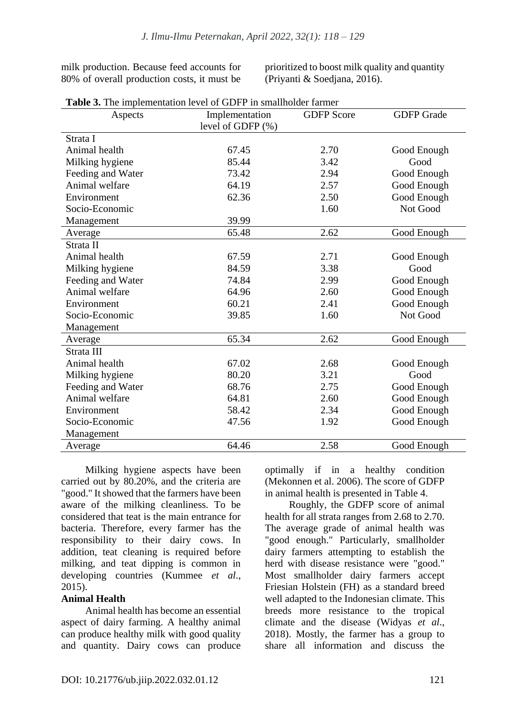milk production. Because feed accounts for 80% of overall production costs, it must be

prioritized to boost milk quality and quantity (Priyanti & Soedjana, 2016).

| Aspects           | Implementation       | <b>GDFP</b> Score | <b>GDFP</b> Grade |
|-------------------|----------------------|-------------------|-------------------|
|                   | level of GDFP $(\%)$ |                   |                   |
| Strata I          |                      |                   |                   |
| Animal health     | 67.45                | 2.70              | Good Enough       |
| Milking hygiene   | 85.44                | 3.42              | Good              |
| Feeding and Water | 73.42                | 2.94              | Good Enough       |
| Animal welfare    | 64.19                | 2.57              | Good Enough       |
| Environment       | 62.36                | 2.50              | Good Enough       |
| Socio-Economic    |                      | 1.60              | Not Good          |
| Management        | 39.99                |                   |                   |
| Average           | 65.48                | 2.62              | Good Enough       |
| Strata II         |                      |                   |                   |
| Animal health     | 67.59                | 2.71              | Good Enough       |
| Milking hygiene   | 84.59                | 3.38              | Good              |
| Feeding and Water | 74.84                | 2.99              | Good Enough       |
| Animal welfare    | 64.96                | 2.60              | Good Enough       |
| Environment       | 60.21                | 2.41              | Good Enough       |
| Socio-Economic    | 39.85                | 1.60              | Not Good          |
| Management        |                      |                   |                   |
| Average           | 65.34                | 2.62              | Good Enough       |
| Strata III        |                      |                   |                   |
| Animal health     | 67.02                | 2.68              | Good Enough       |
| Milking hygiene   | 80.20                | 3.21              | Good              |
| Feeding and Water | 68.76                | 2.75              | Good Enough       |
| Animal welfare    | 64.81                | 2.60              | Good Enough       |
| Environment       | 58.42                | 2.34              | Good Enough       |
| Socio-Economic    | 47.56                | 1.92              | Good Enough       |
| Management        |                      |                   |                   |
| Average           | 64.46                | 2.58              | Good Enough       |

**Table 3.** The implementation level of GDFP in smallholder farmer

Milking hygiene aspects have been carried out by 80.20%, and the criteria are "good." It showed that the farmers have been aware of the milking cleanliness. To be considered that teat is the main entrance for bacteria. Therefore, every farmer has the responsibility to their dairy cows. In addition, teat cleaning is required before milking, and teat dipping is common in developing countries (Kummee *et al*., 2015).

#### **Animal Health**

Animal health has become an essential aspect of dairy farming. A healthy animal can produce healthy milk with good quality and quantity. Dairy cows can produce optimally if in a healthy condition (Mekonnen et al. 2006). The score of GDFP in animal health is presented in Table 4.

Roughly, the GDFP score of animal health for all strata ranges from 2.68 to 2.70. The average grade of animal health was "good enough." Particularly, smallholder dairy farmers attempting to establish the herd with disease resistance were "good." Most smallholder dairy farmers accept Friesian Holstein (FH) as a standard breed well adapted to the Indonesian climate. This breeds more resistance to the tropical climate and the disease (Widyas *et al*., 2018). Mostly, the farmer has a group to share all information and discuss the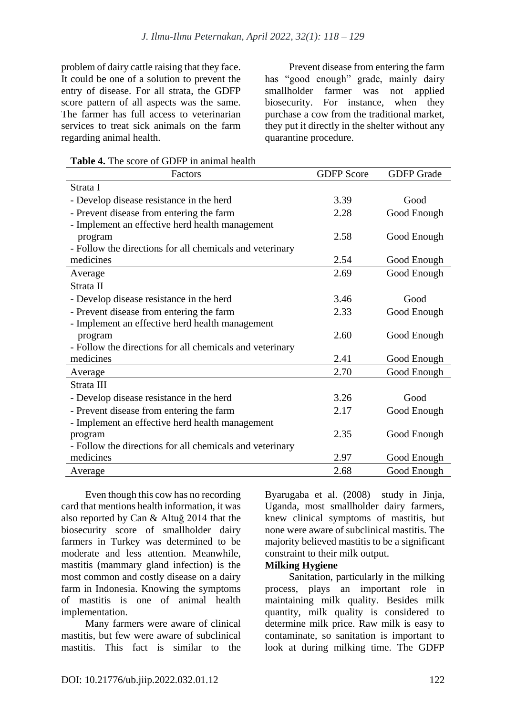problem of dairy cattle raising that they face. It could be one of a solution to prevent the entry of disease. For all strata, the GDFP score pattern of all aspects was the same. The farmer has full access to veterinarian services to treat sick animals on the farm regarding animal health.

Prevent disease from entering the farm has "good enough" grade, mainly dairy smallholder farmer was not applied biosecurity. For instance, when they purchase a cow from the traditional market, they put it directly in the shelter without any quarantine procedure.

**Table 4.** The score of GDFP in animal health

| Factors                                                  | <b>GDFP</b> Score | <b>GDFP</b> Grade |
|----------------------------------------------------------|-------------------|-------------------|
| Strata I                                                 |                   |                   |
| - Develop disease resistance in the herd                 | 3.39              | Good              |
| - Prevent disease from entering the farm                 | 2.28              | Good Enough       |
| - Implement an effective herd health management          |                   |                   |
| program                                                  | 2.58              | Good Enough       |
| - Follow the directions for all chemicals and veterinary |                   |                   |
| medicines                                                | 2.54              | Good Enough       |
| Average                                                  | 2.69              | Good Enough       |
| Strata II                                                |                   |                   |
| - Develop disease resistance in the herd                 | 3.46              | Good              |
| - Prevent disease from entering the farm                 | 2.33              | Good Enough       |
| - Implement an effective herd health management          |                   |                   |
| program                                                  | 2.60              | Good Enough       |
| - Follow the directions for all chemicals and veterinary |                   |                   |
| medicines                                                | 2.41              | Good Enough       |
| Average                                                  | 2.70              | Good Enough       |
| Strata III                                               |                   |                   |
| - Develop disease resistance in the herd                 | 3.26              | Good              |
| - Prevent disease from entering the farm                 | 2.17              | Good Enough       |
| - Implement an effective herd health management          |                   |                   |
| program                                                  | 2.35              | Good Enough       |
| - Follow the directions for all chemicals and veterinary |                   |                   |
| medicines                                                | 2.97              | Good Enough       |
| Average                                                  | 2.68              | Good Enough       |

Even though this cow has no recording card that mentions health information, it was also reported by Can & Altuğ 2014 that the biosecurity score of smallholder dairy farmers in Turkey was determined to be moderate and less attention. Meanwhile, mastitis (mammary gland infection) is the most common and costly disease on a dairy farm in Indonesia. Knowing the symptoms of mastitis is one of animal health implementation.

Many farmers were aware of clinical mastitis, but few were aware of subclinical mastitis. This fact is similar to the

Byarugaba et al. (2008) study in Jinja, Uganda, most smallholder dairy farmers, knew clinical symptoms of mastitis, but none were aware of subclinical mastitis. The majority believed mastitis to be a significant constraint to their milk output.

#### **Milking Hygiene**

Sanitation, particularly in the milking process, plays an important role in maintaining milk quality. Besides milk quantity, milk quality is considered to determine milk price. Raw milk is easy to contaminate, so sanitation is important to look at during milking time. The GDFP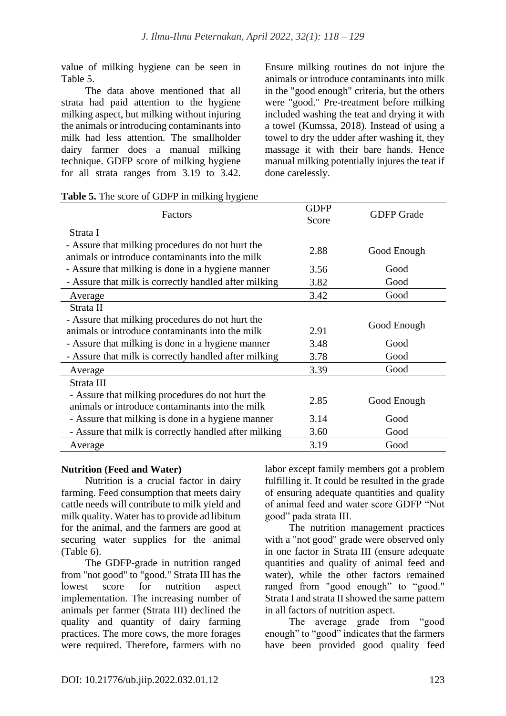value of milking hygiene can be seen in Table 5.

The data above mentioned that all strata had paid attention to the hygiene milking aspect, but milking without injuring the animals or introducing contaminants into milk had less attention. The smallholder dairy farmer does a manual milking technique. GDFP score of milking hygiene for all strata ranges from 3.19 to 3.42. Ensure milking routines do not injure the animals or introduce contaminants into milk in the "good enough" criteria, but the others were "good." Pre-treatment before milking included washing the teat and drying it with a towel (Kumssa, 2018). Instead of using a towel to dry the udder after washing it, they massage it with their bare hands. Hence manual milking potentially injures the teat if done carelessly.

| <b>Table 5.</b> The score of GDFP in milking hygiene |  |  |  |  |  |
|------------------------------------------------------|--|--|--|--|--|
|------------------------------------------------------|--|--|--|--|--|

|                                                                                                     | <b>GDFP</b> |                   |  |
|-----------------------------------------------------------------------------------------------------|-------------|-------------------|--|
| Factors                                                                                             | Score       | <b>GDFP</b> Grade |  |
| Strata I                                                                                            |             |                   |  |
| - Assure that milking procedures do not hurt the<br>animals or introduce contaminants into the milk | 2.88        | Good Enough       |  |
| - Assure that milking is done in a hygiene manner                                                   | 3.56        | Good              |  |
| - Assure that milk is correctly handled after milking                                               | 3.82        | Good              |  |
| Average                                                                                             | 3.42        | Good              |  |
| Strata II                                                                                           |             |                   |  |
| - Assure that milking procedures do not hurt the                                                    |             | Good Enough       |  |
| animals or introduce contaminants into the milk                                                     | 2.91        |                   |  |
| - Assure that milking is done in a hygiene manner                                                   | 3.48        | Good              |  |
| - Assure that milk is correctly handled after milking                                               | 3.78        | Good              |  |
| Average                                                                                             | 3.39        | Good              |  |
| Strata III                                                                                          |             |                   |  |
| - Assure that milking procedures do not hurt the<br>animals or introduce contaminants into the milk | 2.85        | Good Enough       |  |
| - Assure that milking is done in a hygiene manner                                                   | 3.14        | Good              |  |
| - Assure that milk is correctly handled after milking                                               | 3.60        | Good              |  |
| Average                                                                                             | 3.19        | Good              |  |

# **Nutrition (Feed and Water)**

Nutrition is a crucial factor in dairy farming. Feed consumption that meets dairy cattle needs will contribute to milk yield and milk quality. Water has to provide ad libitum for the animal, and the farmers are good at securing water supplies for the animal (Table 6).

The GDFP-grade in nutrition ranged from "not good" to "good." Strata III has the lowest score for nutrition aspect implementation. The increasing number of animals per farmer (Strata III) declined the quality and quantity of dairy farming practices. The more cows, the more forages were required. Therefore, farmers with no labor except family members got a problem fulfilling it. It could be resulted in the grade of ensuring adequate quantities and quality of animal feed and water score GDFP "Not good" pada strata III.

The nutrition management practices with a "not good" grade were observed only in one factor in Strata III (ensure adequate quantities and quality of animal feed and water), while the other factors remained ranged from "good enough" to "good." Strata I and strata II showed the same pattern in all factors of nutrition aspect.

The average grade from "good enough" to "good" indicates that the farmers have been provided good quality feed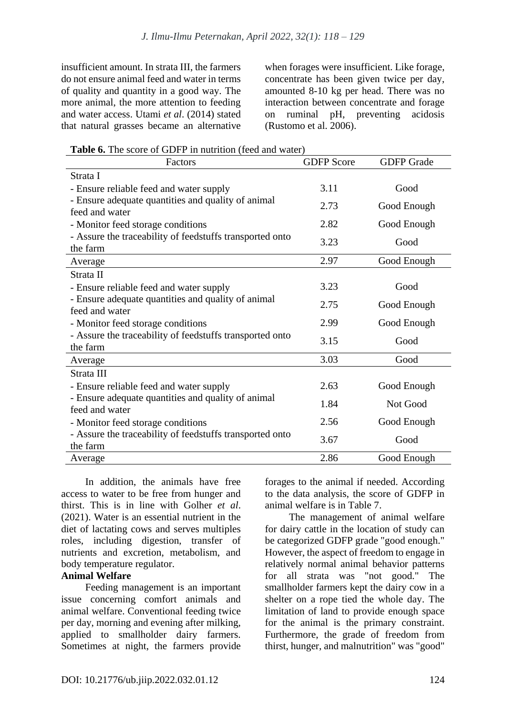insufficient amount. In strata III, the farmers do not ensure animal feed and water in terms of quality and quantity in a good way. The more animal, the more attention to feeding and water access. Utami *et al*. (2014) stated that natural grasses became an alternative when forages were insufficient. Like forage, concentrate has been given twice per day, amounted 8-10 kg per head. There was no interaction between concentrate and forage on ruminal pH, preventing acidosis (Rustomo et al. 2006).

**Table 6.** The score of GDFP in nutrition (feed and water)

| Factors                                                              | <b>GDFP</b> Score | <b>GDFP</b> Grade |
|----------------------------------------------------------------------|-------------------|-------------------|
| Strata I                                                             |                   |                   |
| - Ensure reliable feed and water supply                              | 3.11              | Good              |
| - Ensure adequate quantities and quality of animal                   | 2.73              | Good Enough       |
| feed and water                                                       |                   |                   |
| - Monitor feed storage conditions                                    | 2.82              | Good Enough       |
| - Assure the traceability of feedstuffs transported onto<br>the farm | 3.23              | Good              |
| Average                                                              | 2.97              | Good Enough       |
| Strata II                                                            |                   |                   |
| - Ensure reliable feed and water supply                              | 3.23              | Good              |
| - Ensure adequate quantities and quality of animal<br>feed and water | 2.75              | Good Enough       |
| - Monitor feed storage conditions                                    | 2.99              | Good Enough       |
| - Assure the traceability of feedstuffs transported onto             | 3.15              | Good              |
| the farm                                                             |                   |                   |
| Average                                                              | 3.03              | Good              |
| Strata III                                                           |                   |                   |
| - Ensure reliable feed and water supply                              | 2.63              | Good Enough       |
| - Ensure adequate quantities and quality of animal                   | 1.84              | Not Good          |
| feed and water                                                       |                   |                   |
| - Monitor feed storage conditions                                    | 2.56              | Good Enough       |
| - Assure the traceability of feedstuffs transported onto             | 3.67              | Good              |
| the farm                                                             |                   |                   |
| Average                                                              | 2.86              | Good Enough       |

In addition, the animals have free access to water to be free from hunger and thirst. This is in line with Golher *et al*. (2021). Water is an essential nutrient in the diet of lactating cows and serves multiples roles, including digestion, transfer of nutrients and excretion, metabolism, and body temperature regulator.

#### **Animal Welfare**

Feeding management is an important issue concerning comfort animals and animal welfare. Conventional feeding twice per day, morning and evening after milking, applied to smallholder dairy farmers. Sometimes at night, the farmers provide forages to the animal if needed. According to the data analysis, the score of GDFP in animal welfare is in Table 7.

The management of animal welfare for dairy cattle in the location of study can be categorized GDFP grade "good enough." However, the aspect of freedom to engage in relatively normal animal behavior patterns for all strata was "not good." The smallholder farmers kept the dairy cow in a shelter on a rope tied the whole day. The limitation of land to provide enough space for the animal is the primary constraint. Furthermore, the grade of freedom from thirst, hunger, and malnutrition" was "good"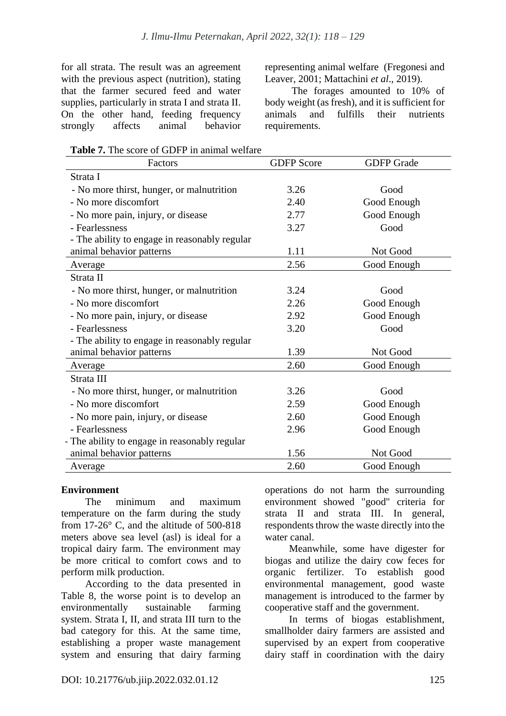for all strata. The result was an agreement with the previous aspect (nutrition), stating that the farmer secured feed and water supplies, particularly in strata I and strata II. On the other hand, feeding frequency strongly affects animal behavior representing animal welfare (Fregonesi and Leaver, 2001; Mattachini *et al*., 2019).

The forages amounted to 10% of body weight (as fresh), and it is sufficient for animals and fulfills their nutrients requirements.

**Table 7.** The score of GDFP in animal welfare

| Factors                                       | <b>GDFP</b> Score | <b>GDFP</b> Grade |
|-----------------------------------------------|-------------------|-------------------|
| Strata I                                      |                   |                   |
| - No more thirst, hunger, or malnutrition     | 3.26              | Good              |
| - No more discomfort                          | 2.40              | Good Enough       |
| - No more pain, injury, or disease            | 2.77              | Good Enough       |
| - Fearlessness                                | 3.27              | Good              |
| - The ability to engage in reasonably regular |                   |                   |
| animal behavior patterns                      | 1.11              | Not Good          |
| Average                                       | 2.56              | Good Enough       |
| Strata II                                     |                   |                   |
| - No more thirst, hunger, or malnutrition     | 3.24              | Good              |
| - No more discomfort                          | 2.26              | Good Enough       |
| - No more pain, injury, or disease            | 2.92              | Good Enough       |
| - Fearlessness                                | 3.20              | Good              |
| - The ability to engage in reasonably regular |                   |                   |
| animal behavior patterns                      | 1.39              | Not Good          |
| Average                                       | 2.60              | Good Enough       |
| Strata III                                    |                   |                   |
| - No more thirst, hunger, or malnutrition     | 3.26              | Good              |
| - No more discomfort                          | 2.59              | Good Enough       |
| - No more pain, injury, or disease            | 2.60              | Good Enough       |
| - Fearlessness                                | 2.96              | Good Enough       |
| - The ability to engage in reasonably regular |                   |                   |
| animal behavior patterns                      | 1.56              | Not Good          |
| Average                                       | 2.60              | Good Enough       |

# **Environment**

The minimum and maximum temperature on the farm during the study from 17-26° C, and the altitude of 500-818 meters above sea level (asl) is ideal for a tropical dairy farm. The environment may be more critical to comfort cows and to perform milk production.

According to the data presented in Table 8, the worse point is to develop an environmentally sustainable farming system. Strata I, II, and strata III turn to the bad category for this. At the same time, establishing a proper waste management system and ensuring that dairy farming operations do not harm the surrounding environment showed "good" criteria for strata II and strata III. In general, respondents throw the waste directly into the water canal.

Meanwhile, some have digester for biogas and utilize the dairy cow feces for organic fertilizer. To establish good environmental management, good waste management is introduced to the farmer by cooperative staff and the government.

In terms of biogas establishment, smallholder dairy farmers are assisted and supervised by an expert from cooperative dairy staff in coordination with the dairy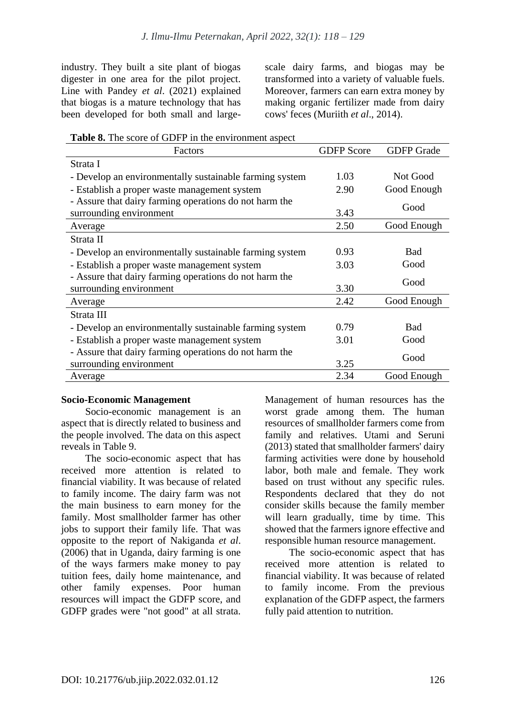industry. They built a site plant of biogas digester in one area for the pilot project. Line with Pandey *et al*. (2021) explained that biogas is a mature technology that has been developed for both small and largescale dairy farms, and biogas may be transformed into a variety of valuable fuels. Moreover, farmers can earn extra money by making organic fertilizer made from dairy cows' feces (Muriith *et al*., 2014).

**Table 8.** The score of GDFP in the environment aspect

| Factors                                                 | <b>GDFP</b> Score | <b>GDFP</b> Grade |
|---------------------------------------------------------|-------------------|-------------------|
| Strata I                                                |                   |                   |
| - Develop an environmentally sustainable farming system | 1.03              | Not Good          |
| - Establish a proper waste management system            | 2.90              | Good Enough       |
| - Assure that dairy farming operations do not harm the  |                   | Good              |
| surrounding environment                                 | 3.43              |                   |
| Average                                                 | 2.50              | Good Enough       |
| Strata II                                               |                   |                   |
| - Develop an environmentally sustainable farming system | 0.93              | <b>Bad</b>        |
| - Establish a proper waste management system            | 3.03              | Good              |
| - Assure that dairy farming operations do not harm the  |                   | Good              |
| surrounding environment                                 | 3.30              |                   |
| Average                                                 | 2.42              | Good Enough       |
| Strata III                                              |                   |                   |
| - Develop an environmentally sustainable farming system | 0.79              | <b>Bad</b>        |
| - Establish a proper waste management system            | 3.01              | Good              |
| - Assure that dairy farming operations do not harm the  |                   | Good              |
| surrounding environment                                 | 3.25              |                   |
| Average                                                 | 2.34              | Good Enough       |

#### **Socio-Economic Management**

Socio-economic management is an aspect that is directly related to business and the people involved. The data on this aspect reveals in Table 9.

The socio-economic aspect that has received more attention is related to financial viability. It was because of related to family income. The dairy farm was not the main business to earn money for the family. Most smallholder farmer has other jobs to support their family life. That was opposite to the report of Nakiganda *et al*. (2006) that in Uganda, dairy farming is one of the ways farmers make money to pay tuition fees, daily home maintenance, and other family expenses. Poor human resources will impact the GDFP score, and GDFP grades were "not good" at all strata. Management of human resources has the worst grade among them. The human resources of smallholder farmers come from family and relatives. Utami and Seruni (2013) stated that smallholder farmers' dairy farming activities were done by household labor, both male and female. They work based on trust without any specific rules. Respondents declared that they do not consider skills because the family member will learn gradually, time by time. This showed that the farmers ignore effective and responsible human resource management.

The socio-economic aspect that has received more attention is related to financial viability. It was because of related to family income. From the previous explanation of the GDFP aspect, the farmers fully paid attention to nutrition.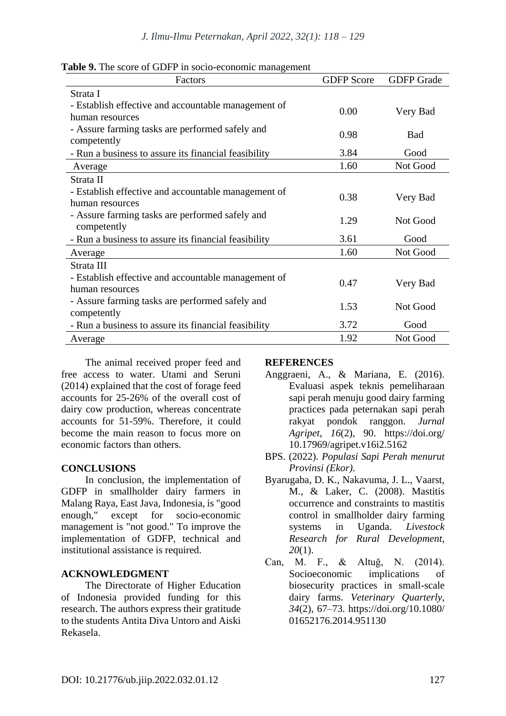|  |  | <b>Table 9.</b> The score of GDFP in socio-economic management |
|--|--|----------------------------------------------------------------|
|  |  |                                                                |

| Factors                                                                           | <b>GDFP</b> Score | <b>GDFP</b> Grade |
|-----------------------------------------------------------------------------------|-------------------|-------------------|
| Strata I                                                                          |                   |                   |
| - Establish effective and accountable management of<br>human resources            | 0.00              | Very Bad          |
| - Assure farming tasks are performed safely and                                   | 0.98              | <b>Bad</b>        |
| competently                                                                       |                   |                   |
| - Run a business to assure its financial feasibility                              | 3.84              | Good              |
| Average                                                                           | 1.60              | Not Good          |
| Strata II                                                                         |                   |                   |
| - Establish effective and accountable management of                               | 0.38              | Very Bad          |
| human resources<br>- Assure farming tasks are performed safely and<br>competently | 1.29              | Not Good          |
| - Run a business to assure its financial feasibility                              | 3.61              | Good              |
| Average                                                                           | 1.60              | Not Good          |
| Strata III                                                                        |                   |                   |
| - Establish effective and accountable management of<br>human resources            | 0.47              | Very Bad          |
| - Assure farming tasks are performed safely and<br>competently                    | 1.53              | Not Good          |
| - Run a business to assure its financial feasibility                              | 3.72              | Good              |
| Average                                                                           | 1.92              | Not Good          |

The animal received proper feed and free access to water. Utami and Seruni (2014) explained that the cost of forage feed accounts for 25-26% of the overall cost of dairy cow production, whereas concentrate accounts for 51-59%. Therefore, it could become the main reason to focus more on economic factors than others.

# **CONCLUSIONS**

In conclusion, the implementation of GDFP in smallholder dairy farmers in Malang Raya, East Java, Indonesia, is "good enough," except for socio-economic management is "not good." To improve the implementation of GDFP, technical and institutional assistance is required.

# **ACKNOWLEDGMENT**

The Directorate of Higher Education of Indonesia provided funding for this research. The authors express their gratitude to the students Antita Diva Untoro and Aiski Rekasela.

# **REFERENCES**

- Anggraeni, A., & Mariana, E. (2016). Evaluasi aspek teknis pemeliharaan sapi perah menuju good dairy farming practices pada peternakan sapi perah rakyat pondok ranggon. *Jurnal Agripet*, *16*(2), 90. https://doi.org/ 10.17969/agripet.v16i2.5162
- BPS. (2022). *Populasi Sapi Perah menurut Provinsi (Ekor)*.
- Byarugaba, D. K., Nakavuma, J. L., Vaarst, M., & Laker, C. (2008). Mastitis occurrence and constraints to mastitis control in smallholder dairy farming systems in Uganda. *Livestock Research for Rural Development*, *20*(1).
- Can, M. F., & Altuğ, N. (2014). Socioeconomic implications of biosecurity practices in small-scale dairy farms. *Veterinary Quarterly*, *34*(2), 67–73. https://doi.org/10.1080/ 01652176.2014.951130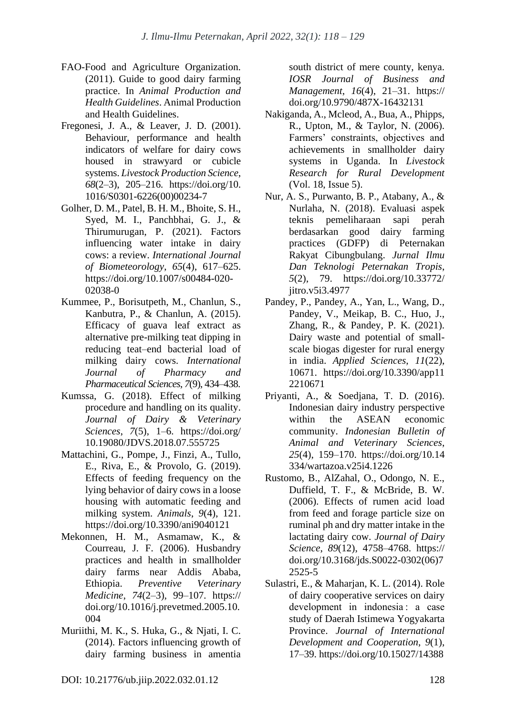- FAO-Food and Agriculture Organization. (2011). Guide to good dairy farming practice. In *Animal Production and Health Guidelines*. Animal Production and Health Guidelines.
- Fregonesi, J. A., & Leaver, J. D. (2001). Behaviour, performance and health indicators of welfare for dairy cows housed in strawyard or cubicle systems. *Livestock Production Science*, *68*(2–3), 205–216. https://doi.org/10. 1016/S0301-6226(00)00234-7
- Golher, D. M., Patel, B. H. M., Bhoite, S. H., Syed, M. I., Panchbhai, G. J., & Thirumurugan, P. (2021). Factors influencing water intake in dairy cows: a review. *International Journal of Biometeorology*, *65*(4), 617–625. https://doi.org/10.1007/s00484-020- 02038-0
- Kummee, P., Borisutpeth, M., Chanlun, S., Kanbutra, P., & Chanlun, A. (2015). Efficacy of guava leaf extract as alternative pre-milking teat dipping in reducing teat–end bacterial load of milking dairy cows. *International Journal of Pharmacy and Pharmaceutical Sciences*, *7*(9), 434–438.
- Kumssa, G. (2018). Effect of milking procedure and handling on its quality. *Journal of Dairy & Veterinary Sciences*, *7*(5), 1–6. https://doi.org/ 10.19080/JDVS.2018.07.555725
- Mattachini, G., Pompe, J., Finzi, A., Tullo, E., Riva, E., & Provolo, G. (2019). Effects of feeding frequency on the lying behavior of dairy cows in a loose housing with automatic feeding and milking system. *Animals*, *9*(4), 121. https://doi.org/10.3390/ani9040121
- Mekonnen, H. M., Asmamaw, K., & Courreau, J. F. (2006). Husbandry practices and health in smallholder dairy farms near Addis Ababa, Ethiopia. *Preventive Veterinary Medicine*, *74*(2–3), 99–107. https:// doi.org/10.1016/j.prevetmed.2005.10. 004
- Muriithi, M. K., S. Huka, G., & Njati, I. C. (2014). Factors influencing growth of dairy farming business in amentia

south district of mere county, kenya. *IOSR Journal of Business and Management*, *16*(4), 21–31. https:// doi.org/10.9790/487X-16432131

- Nakiganda, A., Mcleod, A., Bua, A., Phipps, R., Upton, M., & Taylor, N. (2006). Farmers' constraints, objectives and achievements in smallholder dairy systems in Uganda. In *Livestock Research for Rural Development* (Vol. 18, Issue 5).
- Nur, A. S., Purwanto, B. P., Atabany, A., & Nurlaha, N. (2018). Evaluasi aspek teknis pemeliharaan sapi perah berdasarkan good dairy farming practices (GDFP) di Peternakan Rakyat Cibungbulang. *Jurnal Ilmu Dan Teknologi Peternakan Tropis*, *5*(2), 79. https://doi.org/10.33772/ jitro.v5i3.4977
- Pandey, P., Pandey, A., Yan, L., Wang, D., Pandey, V., Meikap, B. C., Huo, J., Zhang, R., & Pandey, P. K. (2021). Dairy waste and potential of smallscale biogas digester for rural energy in india. *Applied Sciences*, *11*(22), 10671. https://doi.org/10.3390/app11 2210671
- Priyanti, A., & Soedjana, T. D. (2016). Indonesian dairy industry perspective within the ASEAN economic community. *Indonesian Bulletin of Animal and Veterinary Sciences*, *25*(4), 159–170. https://doi.org/10.14 334/wartazoa.v25i4.1226
- Rustomo, B., AlZahal, O., Odongo, N. E., Duffield, T. F., & McBride, B. W. (2006). Effects of rumen acid load from feed and forage particle size on ruminal ph and dry matter intake in the lactating dairy cow. *Journal of Dairy Science*, *89*(12), 4758–4768. https:// doi.org/10.3168/jds.S0022-0302(06)7 2525-5
- Sulastri, E., & Maharjan, K. L. (2014). Role of dairy cooperative services on dairy development in indonesia : a case study of Daerah Istimewa Yogyakarta Province. *Journal of International Development and Cooperation*, *9*(1), 17–39. https://doi.org/10.15027/14388